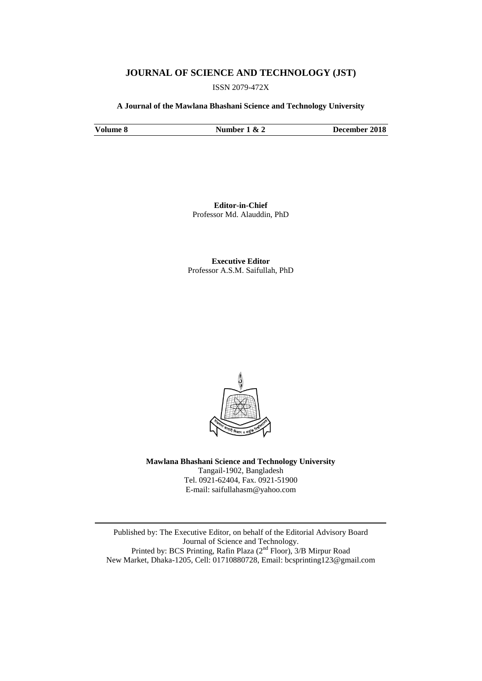## **JOURNAL OF SCIENCE AND TECHNOLOGY (JST)**

ISSN 2079-472X

**A Journal of the Mawlana Bhashani Science and Technology University**

**Volume 8 Number 1 & 2 December 2018**

**Editor-in-Chief** Professor Md. Alauddin, PhD

**Executive Editor** Professor A.S.M. Saifullah, PhD



**Mawlana Bhashani Science and Technology University** Tangail-1902, Bangladesh Tel. 0921-62404, Fax. 0921-51900 E-mail: saifullahasm@yahoo.com

Published by: The Executive Editor, on behalf of the Editorial Advisory Board Journal of Science and Technology. Printed by: BCS Printing, Rafin Plaza (2<sup>nd</sup> Floor), 3/B Mirpur Road New Market, Dhaka-1205, Cell: 01710880728, Email: bcsprinting123@gmail.com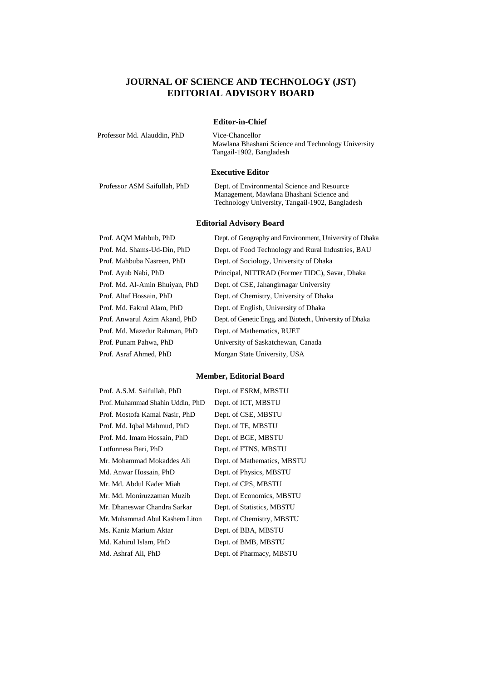# **JOURNAL OF SCIENCE AND TECHNOLOGY (JST) EDITORIAL ADVISORY BOARD**

#### **Editor-in-Chief**

Professor Md. Alauddin, PhD Vice-Chancellor

Mawlana Bhashani Science and Technology University Tangail-1902, Bangladesh

#### **Executive Editor**

Professor ASM Saifullah, PhD

| Dept. of Environmental Science and Resource     |  |  |
|-------------------------------------------------|--|--|
| Management, Mawlana Bhashani Science and        |  |  |
| Technology University, Tangail-1902, Bangladesh |  |  |

### **Editorial Advisory Board**

| Prof. AQM Mahbub, PhD          | Dept. of Geography and Environment, University of Dhaka  |
|--------------------------------|----------------------------------------------------------|
| Prof. Md. Shams-Ud-Din, PhD    | Dept. of Food Technology and Rural Industries, BAU       |
| Prof. Mahbuba Nasreen, PhD     | Dept. of Sociology, University of Dhaka                  |
| Prof. Ayub Nabi, PhD           | Principal, NITTRAD (Former TIDC), Savar, Dhaka           |
| Prof. Md. Al-Amin Bhuiyan, PhD | Dept. of CSE, Jahangirnagar University                   |
| Prof. Altaf Hossain, PhD       | Dept. of Chemistry, University of Dhaka                  |
| Prof. Md. Fakrul Alam, PhD     | Dept. of English, University of Dhaka                    |
| Prof. Anwarul Azim Akand, PhD  | Dept. of Genetic Engg. and Biotech., University of Dhaka |
| Prof. Md. Mazedur Rahman, PhD  | Dept. of Mathematics, RUET                               |
| Prof. Punam Pahwa, PhD         | University of Saskatchewan, Canada                       |
| Prof. Asraf Ahmed, PhD         | Morgan State University, USA                             |

#### **Member, Editorial Board**

| Prof. A.S.M. Saifullah, PhD      | Dept. of ESRM, MBSTU        |
|----------------------------------|-----------------------------|
| Prof. Muhammad Shahin Uddin, PhD | Dept. of ICT, MBSTU         |
| Prof. Mostofa Kamal Nasir, PhD   | Dept. of CSE, MBSTU         |
| Prof. Md. Iqbal Mahmud, PhD      | Dept. of TE, MBSTU          |
| Prof. Md. Imam Hossain, PhD      | Dept. of BGE, MBSTU         |
| Lutfunnesa Bari, PhD             | Dept. of FTNS, MBSTU        |
| Mr. Mohammad Mokaddes Ali        | Dept. of Mathematics, MBSTU |
| Md. Anwar Hossain, PhD           | Dept. of Physics, MBSTU     |
| Mr. Md. Abdul Kader Miah         | Dept. of CPS, MBSTU         |
| Mr. Md. Moniruzzaman Muzib       | Dept. of Economics, MBSTU   |
| Mr. Dhaneswar Chandra Sarkar     | Dept. of Statistics, MBSTU  |
| Mr. Muhammad Abul Kashem Liton   | Dept. of Chemistry, MBSTU   |
| Ms. Kaniz Marium Aktar           | Dept. of BBA, MBSTU         |
| Md. Kahirul Islam, PhD           | Dept. of BMB, MBSTU         |
| Md. Ashraf Ali, PhD              | Dept. of Pharmacy, MBSTU    |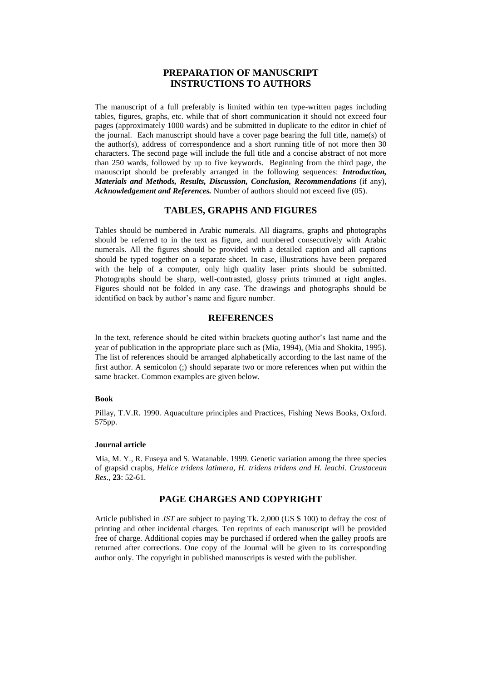# **PREPARATION OF MANUSCRIPT INSTRUCTIONS TO AUTHORS**

The manuscript of a full preferably is limited within ten type-written pages including tables, figures, graphs, etc. while that of short communication it should not exceed four pages (approximately 1000 wards) and be submitted in duplicate to the editor in chief of the journal. Each manuscript should have a cover page bearing the full title, name(s) of the author(s), address of correspondence and a short running title of not more then 30 characters. The second page will include the full title and a concise abstract of not more than 250 wards, followed by up to five keywords. Beginning from the third page, the manuscript should be preferably arranged in the following sequences: *Introduction, Materials and Methods, Results, Discussion, Conclusion, Recommendations* (if any), *Acknowledgement and References.* Number of authors should not exceed five (05).

## **TABLES, GRAPHS AND FIGURES**

Tables should be numbered in Arabic numerals. All diagrams, graphs and photographs should be referred to in the text as figure, and numbered consecutively with Arabic numerals. All the figures should be provided with a detailed caption and all captions should be typed together on a separate sheet. In case, illustrations have been prepared with the help of a computer, only high quality laser prints should be submitted. Photographs should be sharp, well-contrasted, glossy prints trimmed at right angles. Figures should not be folded in any case. The drawings and photographs should be identified on back by author's name and figure number.

# **REFERENCES**

In the text, reference should be cited within brackets quoting author's last name and the year of publication in the appropriate place such as (Mia, 1994), (Mia and Shokita, 1995). The list of references should be arranged alphabetically according to the last name of the first author. A semicolon (;) should separate two or more references when put within the same bracket. Common examples are given below.

#### **Book**

Pillay, T.V.R. 1990. Aquaculture principles and Practices, Fishing News Books, Oxford. 575pp.

#### **Journal article**

Mia, M. Y., R. Fuseya and S. Watanable. 1999. Genetic variation among the three species of grapsid crapbs*, Helice tridens latimera, H. tridens tridens and H. leachi*. *Crustacean Res*., **23**: 52-61.

#### **PAGE CHARGES AND COPYRIGHT**

Article published in *JST* are subject to paying Tk. 2,000 (US \$ 100) to defray the cost of printing and other incidental charges. Ten reprints of each manuscript will be provided free of charge. Additional copies may be purchased if ordered when the galley proofs are returned after corrections. One copy of the Journal will be given to its corresponding author only. The copyright in published manuscripts is vested with the publisher.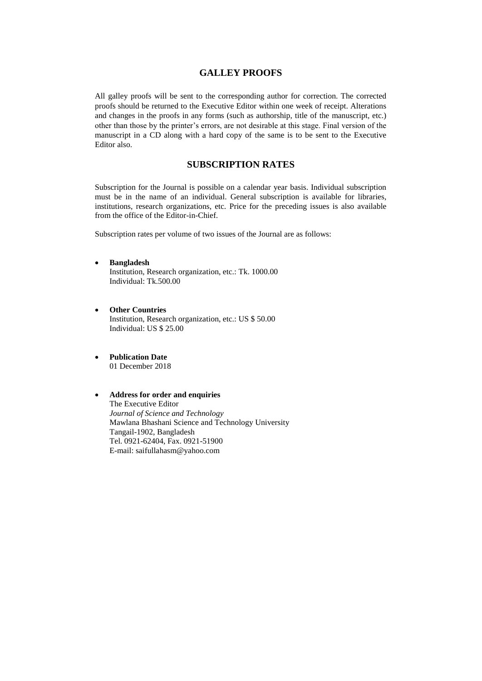### **GALLEY PROOFS**

All galley proofs will be sent to the corresponding author for correction. The corrected proofs should be returned to the Executive Editor within one week of receipt. Alterations and changes in the proofs in any forms (such as authorship, title of the manuscript, etc.) other than those by the printer's errors, are not desirable at this stage. Final version of the manuscript in a CD along with a hard copy of the same is to be sent to the Executive Editor also.

# **SUBSCRIPTION RATES**

Subscription for the Journal is possible on a calendar year basis. Individual subscription must be in the name of an individual. General subscription is available for libraries, institutions, research organizations, etc. Price for the preceding issues is also available from the office of the Editor-in-Chief.

Subscription rates per volume of two issues of the Journal are as follows:

- **Bangladesh** Institution, Research organization, etc.: Tk. 1000.00 Individual: Tk.500.00
- **Other Countries** Institution, Research organization, etc.: US \$ 50.00 Individual: US \$ 25.00
- **Publication Date** 01 December 2018

#### **Address for order and enquiries** The Executive Editor *Journal of Science and Technology* Mawlana Bhashani Science and Technology University Tangail-1902, Bangladesh Tel. 0921-62404, Fax. 0921-51900 E-mail: saifullahasm@yahoo.com